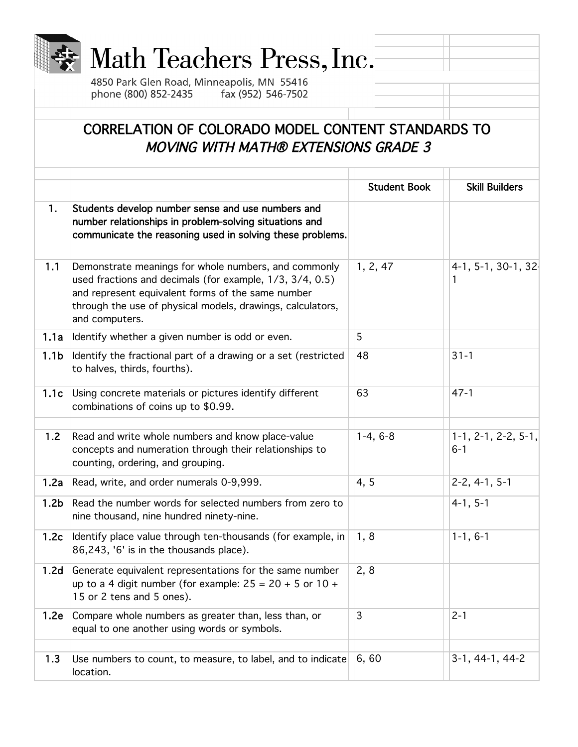|                  | Math Teachers Press, Inc.                                                                                                                                                                                                                             |                     |                                  |  |
|------------------|-------------------------------------------------------------------------------------------------------------------------------------------------------------------------------------------------------------------------------------------------------|---------------------|----------------------------------|--|
|                  | 4850 Park Glen Road, Minneapolis, MN 55416<br>phone (800) 852-2435<br>fax (952) 546-7502                                                                                                                                                              |                     |                                  |  |
|                  |                                                                                                                                                                                                                                                       |                     |                                  |  |
|                  | CORRELATION OF COLORADO MODEL CONTENT STANDARDS TO<br><b>MOVING WITH MATH® EXTENSIONS GRADE 3</b>                                                                                                                                                     |                     |                                  |  |
|                  |                                                                                                                                                                                                                                                       | <b>Student Book</b> | <b>Skill Builders</b>            |  |
| 1.               | Students develop number sense and use numbers and<br>number relationships in problem-solving situations and<br>communicate the reasoning used in solving these problems.                                                                              |                     |                                  |  |
| 1.1              | Demonstrate meanings for whole numbers, and commonly<br>used fractions and decimals (for example, 1/3, 3/4, 0.5)<br>and represent equivalent forms of the same number<br>through the use of physical models, drawings, calculators,<br>and computers. | 1, 2, 47            | $4-1, 5-1, 30-1, 32$<br>1        |  |
| 1.1a             | Identify whether a given number is odd or even.                                                                                                                                                                                                       | 5                   |                                  |  |
| 1.1 <sub>b</sub> | Identify the fractional part of a drawing or a set (restricted<br>to halves, thirds, fourths).                                                                                                                                                        | 48                  | $31 - 1$                         |  |
| 1.1c             | Using concrete materials or pictures identify different<br>combinations of coins up to \$0.99.                                                                                                                                                        | 63                  | $47 - 1$                         |  |
| 1.2              | Read and write whole numbers and know place-value<br>concepts and numeration through their relationships to<br>counting, ordering, and grouping.                                                                                                      | $1-4, 6-8$          | $1-1, 2-1, 2-2, 5-1,$<br>$6 - 1$ |  |
| 1.2a             | Read, write, and order numerals 0-9,999.                                                                                                                                                                                                              | 4, 5                | $2-2, 4-1, 5-1$                  |  |
| 1.2 <sub>b</sub> | Read the number words for selected numbers from zero to<br>nine thousand, nine hundred ninety-nine.                                                                                                                                                   |                     | $4-1, 5-1$                       |  |
| 1.2c             | Identify place value through ten-thousands (for example, in<br>86,243, '6' is in the thousands place).                                                                                                                                                | 1, 8                | $1-1, 6-1$                       |  |
| 1.2d             | Generate equivalent representations for the same number<br>up to a 4 digit number (for example: $25 = 20 + 5$ or $10 +$<br>15 or 2 tens and 5 ones).                                                                                                  | 2, 8                |                                  |  |
| 1.2e             | Compare whole numbers as greater than, less than, or<br>equal to one another using words or symbols.                                                                                                                                                  | 3                   | $2 - 1$                          |  |
| 1.3              | Use numbers to count, to measure, to label, and to indicate<br>location.                                                                                                                                                                              | 6,60                | 3-1, 44-1, 44-2                  |  |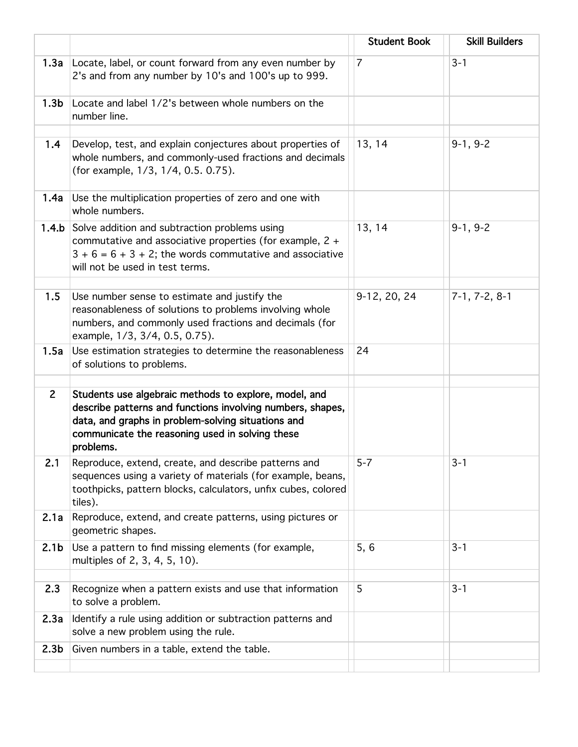|                  |                                                                                                                                                                                                                                           | <b>Student Book</b> | <b>Skill Builders</b> |
|------------------|-------------------------------------------------------------------------------------------------------------------------------------------------------------------------------------------------------------------------------------------|---------------------|-----------------------|
|                  | 1.3a Locate, label, or count forward from any even number by<br>2's and from any number by 10's and 100's up to 999.                                                                                                                      | $\overline{7}$      | $3 - 1$               |
| 1.3 <sub>b</sub> | Locate and label 1/2's between whole numbers on the<br>number line.                                                                                                                                                                       |                     |                       |
| 1.4              | Develop, test, and explain conjectures about properties of<br>whole numbers, and commonly-used fractions and decimals<br>(for example, 1/3, 1/4, 0.5. 0.75).                                                                              | 13, 14              | $9-1, 9-2$            |
| 1.4a             | Use the multiplication properties of zero and one with<br>whole numbers.                                                                                                                                                                  |                     |                       |
|                  | <b>1.4.b</b> Solve addition and subtraction problems using<br>commutative and associative properties (for example, $2 +$<br>$3 + 6 = 6 + 3 + 2$ ; the words commutative and associative<br>will not be used in test terms.                | 13, 14              | $9-1, 9-2$            |
| 1.5              | Use number sense to estimate and justify the<br>reasonableness of solutions to problems involving whole<br>numbers, and commonly used fractions and decimals (for<br>example, 1/3, 3/4, 0.5, 0.75).                                       | 9-12, 20, 24        | $7-1, 7-2, 8-1$       |
| 1.5a             | Use estimation strategies to determine the reasonableness<br>of solutions to problems.                                                                                                                                                    | 24                  |                       |
| $\overline{2}$   | Students use algebraic methods to explore, model, and<br>describe patterns and functions involving numbers, shapes,<br>data, and graphs in problem-solving situations and<br>communicate the reasoning used in solving these<br>problems. |                     |                       |
| 2.1              | Reproduce, extend, create, and describe patterns and<br>sequences using a variety of materials (for example, beans,<br>toothpicks, pattern blocks, calculators, unfix cubes, colored<br>tiles).                                           | $5 - 7$             | $3 - 1$               |
| 2.1a             | Reproduce, extend, and create patterns, using pictures or<br>geometric shapes.                                                                                                                                                            |                     |                       |
| 2.1 <sub>b</sub> | Use a pattern to find missing elements (for example,<br>multiples of 2, 3, 4, 5, 10).                                                                                                                                                     | 5, 6                | $3 - 1$               |
| 2.3              | Recognize when a pattern exists and use that information<br>to solve a problem.                                                                                                                                                           | 5                   | $3 - 1$               |
| 2.3a             | Identify a rule using addition or subtraction patterns and<br>solve a new problem using the rule.                                                                                                                                         |                     |                       |
| 2.3 <sub>b</sub> | Given numbers in a table, extend the table.                                                                                                                                                                                               |                     |                       |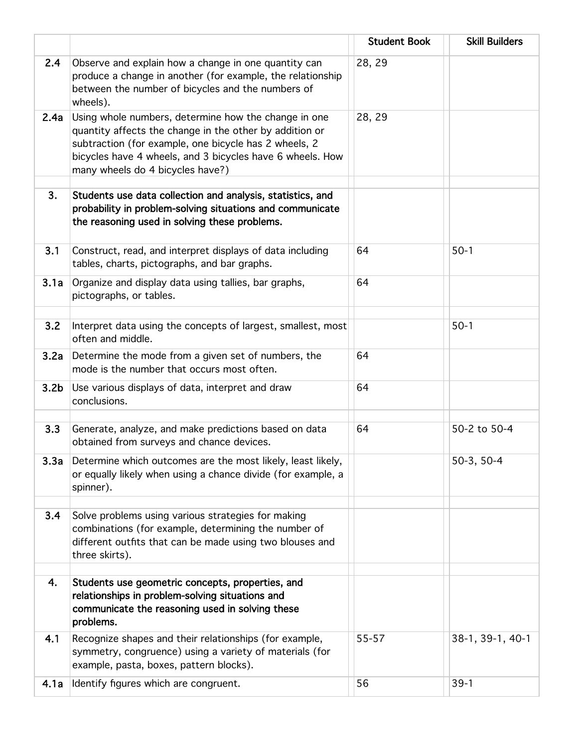|                  |                                                                                                                                                                                                                                                                           | <b>Student Book</b> | <b>Skill Builders</b> |
|------------------|---------------------------------------------------------------------------------------------------------------------------------------------------------------------------------------------------------------------------------------------------------------------------|---------------------|-----------------------|
| 2.4              | Observe and explain how a change in one quantity can<br>produce a change in another (for example, the relationship<br>between the number of bicycles and the numbers of<br>wheels).                                                                                       | 28, 29              |                       |
| 2.4a             | Using whole numbers, determine how the change in one<br>quantity affects the change in the other by addition or<br>subtraction (for example, one bicycle has 2 wheels, 2<br>bicycles have 4 wheels, and 3 bicycles have 6 wheels. How<br>many wheels do 4 bicycles have?) | 28, 29              |                       |
| 3.               | Students use data collection and analysis, statistics, and<br>probability in problem-solving situations and communicate<br>the reasoning used in solving these problems.                                                                                                  |                     |                       |
| 3.1              | Construct, read, and interpret displays of data including<br>tables, charts, pictographs, and bar graphs.                                                                                                                                                                 | 64                  | $50-1$                |
| 3.1a             | Organize and display data using tallies, bar graphs,<br>pictographs, or tables.                                                                                                                                                                                           | 64                  |                       |
| 3.2              | Interpret data using the concepts of largest, smallest, most<br>often and middle.                                                                                                                                                                                         |                     | $50-1$                |
| 3.2a             | Determine the mode from a given set of numbers, the<br>mode is the number that occurs most often.                                                                                                                                                                         | 64                  |                       |
| 3.2 <sub>b</sub> | Use various displays of data, interpret and draw<br>conclusions.                                                                                                                                                                                                          | 64                  |                       |
| 3.3              | Generate, analyze, and make predictions based on data<br>obtained from surveys and chance devices.                                                                                                                                                                        | 64                  | 50-2 to 50-4          |
| 3.3a             | Determine which outcomes are the most likely, least likely,<br>or equally likely when using a chance divide (for example, a<br>spinner).                                                                                                                                  |                     | $50-3, 50-4$          |
| 3.4              | Solve problems using various strategies for making<br>combinations (for example, determining the number of<br>different outfits that can be made using two blouses and<br>three skirts).                                                                                  |                     |                       |
| 4.               | Students use geometric concepts, properties, and<br>relationships in problem-solving situations and<br>communicate the reasoning used in solving these<br>problems.                                                                                                       |                     |                       |
| 4.1              | Recognize shapes and their relationships (for example,<br>symmetry, congruence) using a variety of materials (for<br>example, pasta, boxes, pattern blocks).                                                                                                              | 55-57               | 38-1, 39-1, 40-1      |
| 4.1a             | Identify figures which are congruent.                                                                                                                                                                                                                                     | 56                  | $39-1$                |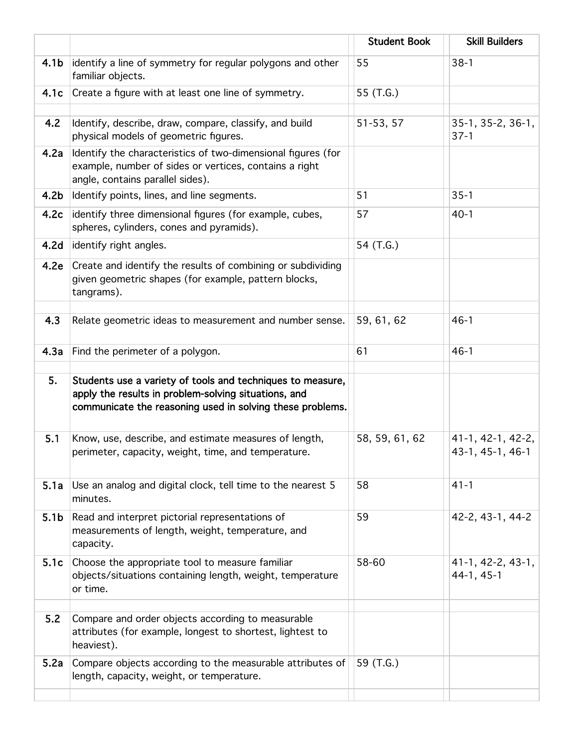|                  |                                                                                                                                                                                 | <b>Student Book</b> | <b>Skill Builders</b>                 |
|------------------|---------------------------------------------------------------------------------------------------------------------------------------------------------------------------------|---------------------|---------------------------------------|
| 4.1b             | identify a line of symmetry for regular polygons and other<br>familiar objects.                                                                                                 | 55                  | $38-1$                                |
| 4.1c             | Create a figure with at least one line of symmetry.                                                                                                                             | 55 (T.G.)           |                                       |
| 4.2              | Identify, describe, draw, compare, classify, and build<br>physical models of geometric figures.                                                                                 | 51-53, 57           | 35-1, 35-2, 36-1,<br>$37-1$           |
| 4.2a             | Identify the characteristics of two-dimensional figures (for<br>example, number of sides or vertices, contains a right<br>angle, contains parallel sides).                      |                     |                                       |
| 4.2b             | Identify points, lines, and line segments.                                                                                                                                      | 51                  | $35 - 1$                              |
| 4.2c             | identify three dimensional figures (for example, cubes,<br>spheres, cylinders, cones and pyramids).                                                                             | 57                  | $40-1$                                |
| 4.2d             | identify right angles.                                                                                                                                                          | 54 (T.G.)           |                                       |
| 4.2e             | Create and identify the results of combining or subdividing<br>given geometric shapes (for example, pattern blocks,<br>tangrams).                                               |                     |                                       |
| 4.3              | Relate geometric ideas to measurement and number sense.                                                                                                                         | 59, 61, 62          | $46-1$                                |
| 4.3a             | Find the perimeter of a polygon.                                                                                                                                                | 61                  | $46 - 1$                              |
| 5.               | Students use a variety of tools and techniques to measure,<br>apply the results in problem-solving situations, and<br>communicate the reasoning used in solving these problems. |                     |                                       |
| 5.1              | Know, use, describe, and estimate measures of length,<br>perimeter, capacity, weight, time, and temperature.                                                                    | 58, 59, 61, 62      | 41-1, 42-1, 42-2,<br>43-1, 45-1, 46-1 |
| 5.1a             | Use an analog and digital clock, tell time to the nearest 5<br>minutes.                                                                                                         | 58                  | $41 - 1$                              |
| 5.1 <sub>b</sub> | Read and interpret pictorial representations of<br>measurements of length, weight, temperature, and<br>capacity.                                                                | 59                  | 42-2, 43-1, 44-2                      |
| 5.1c             | Choose the appropriate tool to measure familiar<br>objects/situations containing length, weight, temperature<br>or time.                                                        | 58-60               | $41-1, 42-2, 43-1,$<br>44-1, 45-1     |
| 5.2              | Compare and order objects according to measurable<br>attributes (for example, longest to shortest, lightest to<br>heaviest).                                                    |                     |                                       |
| 5.2a             | Compare objects according to the measurable attributes of<br>length, capacity, weight, or temperature.                                                                          | 59 (T.G.)           |                                       |
|                  |                                                                                                                                                                                 |                     |                                       |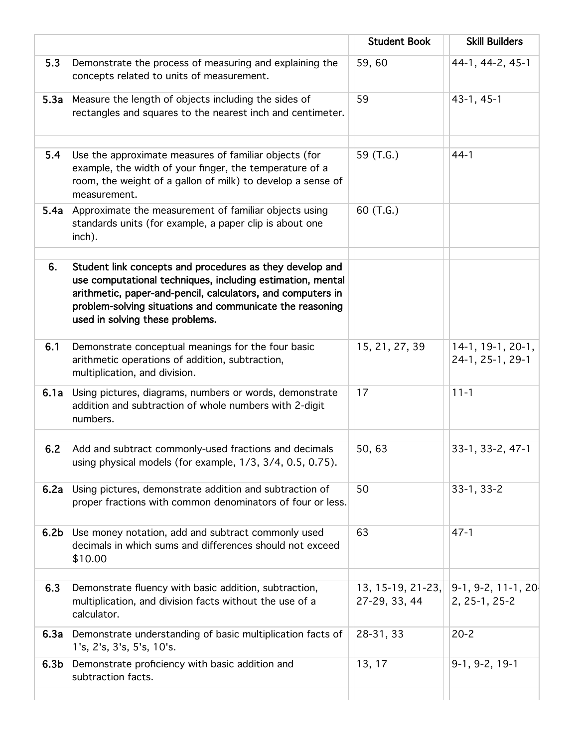|                  |                                                                                                                                                                                                                                                                                      | <b>Student Book</b>                      | <b>Skill Builders</b>                   |
|------------------|--------------------------------------------------------------------------------------------------------------------------------------------------------------------------------------------------------------------------------------------------------------------------------------|------------------------------------------|-----------------------------------------|
| 5.3              | Demonstrate the process of measuring and explaining the<br>concepts related to units of measurement.                                                                                                                                                                                 | 59,60                                    | 44-1, 44-2, 45-1                        |
| 5.3a             | Measure the length of objects including the sides of<br>rectangles and squares to the nearest inch and centimeter.                                                                                                                                                                   | 59                                       | $43-1, 45-1$                            |
| 5.4              | Use the approximate measures of familiar objects (for<br>example, the width of your finger, the temperature of a<br>room, the weight of a gallon of milk) to develop a sense of<br>measurement.                                                                                      | 59 (T.G.)                                | $44-1$                                  |
| 5.4a             | Approximate the measurement of familiar objects using<br>standards units (for example, a paper clip is about one<br>inch).                                                                                                                                                           | 60 (T.G.)                                |                                         |
| 6.               | Student link concepts and procedures as they develop and<br>use computational techniques, including estimation, mental<br>arithmetic, paper-and-pencil, calculators, and computers in<br>problem-solving situations and communicate the reasoning<br>used in solving these problems. |                                          |                                         |
| 6.1              | Demonstrate conceptual meanings for the four basic<br>arithmetic operations of addition, subtraction,<br>multiplication, and division.                                                                                                                                               | 15, 21, 27, 39                           | 14-1, 19-1, 20-1,<br>24-1, 25-1, 29-1   |
| 6.1a             | Using pictures, diagrams, numbers or words, demonstrate<br>addition and subtraction of whole numbers with 2-digit<br>numbers.                                                                                                                                                        | 17                                       | $11 - 1$                                |
| 6.2              | Add and subtract commonly-used fractions and decimals<br>using physical models (for example, 1/3, 3/4, 0.5, 0.75).                                                                                                                                                                   | 50, 63                                   | 33-1, 33-2, 47-1                        |
| 6.2a             | Using pictures, demonstrate addition and subtraction of<br>proper fractions with common denominators of four or less.                                                                                                                                                                | 50                                       | $33-1, 33-2$                            |
| 6.2 <sub>b</sub> | Use money notation, add and subtract commonly used<br>decimals in which sums and differences should not exceed<br>\$10.00                                                                                                                                                            | 63                                       | $47 - 1$                                |
| 6.3              | Demonstrate fluency with basic addition, subtraction,<br>multiplication, and division facts without the use of a<br>calculator.                                                                                                                                                      | $13, 15 - 19, 21 - 23,$<br>27-29, 33, 44 | $ 9-1, 9-2, 11-1, 20 $<br>2, 25-1, 25-2 |
| 6.3a             | Demonstrate understanding of basic multiplication facts of<br>1's, 2's, 3's, 5's, 10's.                                                                                                                                                                                              | 28-31, 33                                | $20 - 2$                                |
| 6.3 <sub>b</sub> | Demonstrate proficiency with basic addition and<br>subtraction facts.                                                                                                                                                                                                                | 13, 17                                   | $9-1, 9-2, 19-1$                        |